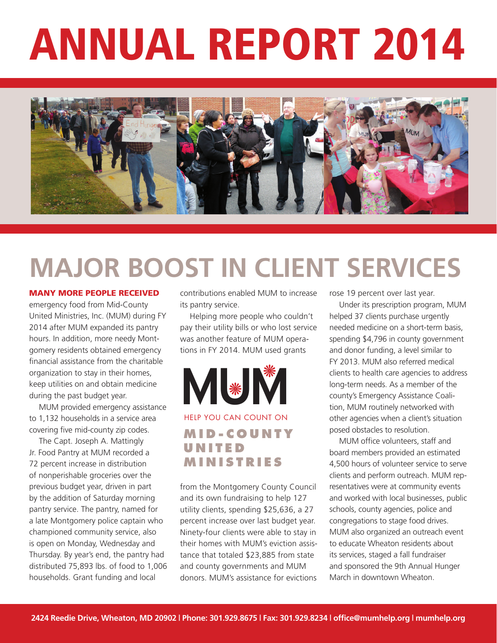# Annual Report 2014



## **Major Boost in Client Services**

#### Many more people received

emergency food from Mid-County United Ministries, Inc. (MUM) during FY 2014 after MUM expanded its pantry hours. In addition, more needy Montgomery residents obtained emergency financial assistance from the charitable organization to stay in their homes, keep utilities on and obtain medicine during the past budget year.

MUM provided emergency assistance to 1,132 households in a service area covering five mid-county zip codes.

The Capt. Joseph A. Mattingly Jr. Food Pantry at MUM recorded a 72 percent increase in distribution of nonperishable groceries over the previous budget year, driven in part by the addition of Saturday morning pantry service. The pantry, named for a late Montgomery police captain who championed community service, also is open on Monday, Wednesday and Thursday. By year's end, the pantry had distributed 75,893 lbs. of food to 1,006 households. Grant funding and local

contributions enabled MUM to increase its pantry service.

Helping more people who couldn't pay their utility bills or who lost service was another feature of MUM operations in FY 2014. MUM used grants



### **m i d - c o u n t y u n i t e d m i n i s t r i e s** help you can count on

from the Montgomery County Council and its own fundraising to help 127 utility clients, spending \$25,636, a 27 percent increase over last budget year. Ninety-four clients were able to stay in their homes with MUM's eviction assistance that totaled \$23,885 from state and county governments and MUM donors. MUM's assistance for evictions rose 19 percent over last year.

Under its prescription program, MUM helped 37 clients purchase urgently needed medicine on a short-term basis, spending \$4,796 in county government and donor funding, a level similar to FY 2013. MUM also referred medical clients to health care agencies to address long-term needs. As a member of the county's Emergency Assistance Coalition, MUM routinely networked with other agencies when a client's situation posed obstacles to resolution.

MUM office volunteers, staff and board members provided an estimated 4,500 hours of volunteer service to serve clients and perform outreach. MUM representatives were at community events and worked with local businesses, public schools, county agencies, police and congregations to stage food drives. MUM also organized an outreach event to educate Wheaton residents about its services, staged a fall fundraiser and sponsored the 9th Annual Hunger March in downtown Wheaton.